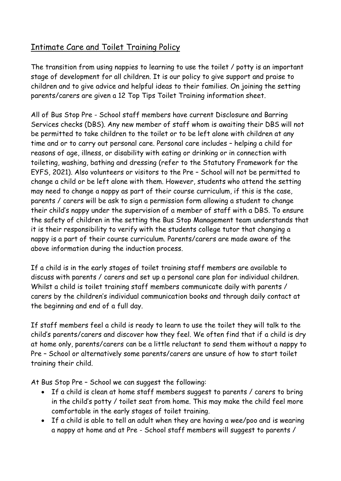## Intimate Care and Toilet Training Policy

The transition from using nappies to learning to use the toilet / potty is an important stage of development for all children. It is our policy to give support and praise to children and to give advice and helpful ideas to their families. On joining the setting parents/carers are given a 12 Top Tips Toilet Training information sheet.

All of Bus Stop Pre - School staff members have current Disclosure and Barring Services checks (DBS). Any new member of staff whom is awaiting their DBS will not be permitted to take children to the toilet or to be left alone with children at any time and or to carry out personal care. Personal care includes – helping a child for reasons of age, illness, or disability with eating or drinking or in connection with toileting, washing, bathing and dressing (refer to the Statutory Framework for the EYFS, 2021). Also volunteers or visitors to the Pre – School will not be permitted to change a child or be left alone with them. However, students who attend the setting may need to change a nappy as part of their course curriculum, if this is the case, parents / carers will be ask to sign a permission form allowing a student to change their child's nappy under the supervision of a member of staff with a DBS. To ensure the safety of children in the setting the Bus Stop Management team understands that it is their responsibility to verify with the students college tutor that changing a nappy is a part of their course curriculum. Parents/carers are made aware of the above information during the induction process.

If a child is in the early stages of toilet training staff members are available to discuss with parents / carers and set up a personal care plan for individual children. Whilst a child is toilet training staff members communicate daily with parents / carers by the children's individual communication books and through daily contact at the beginning and end of a full day.

If staff members feel a child is ready to learn to use the toilet they will talk to the child's parents/carers and discover how they feel. We often find that if a child is dry at home only, parents/carers can be a little reluctant to send them without a nappy to Pre – School or alternatively some parents/carers are unsure of how to start toilet training their child.

At Bus Stop Pre – School we can suggest the following:

- If a child is clean at home staff members suggest to parents / carers to bring in the child's potty / toilet seat from home. This may make the child feel more comfortable in the early stages of toilet training.
- If a child is able to tell an adult when they are having a wee/poo and is wearing a nappy at home and at Pre - School staff members will suggest to parents /